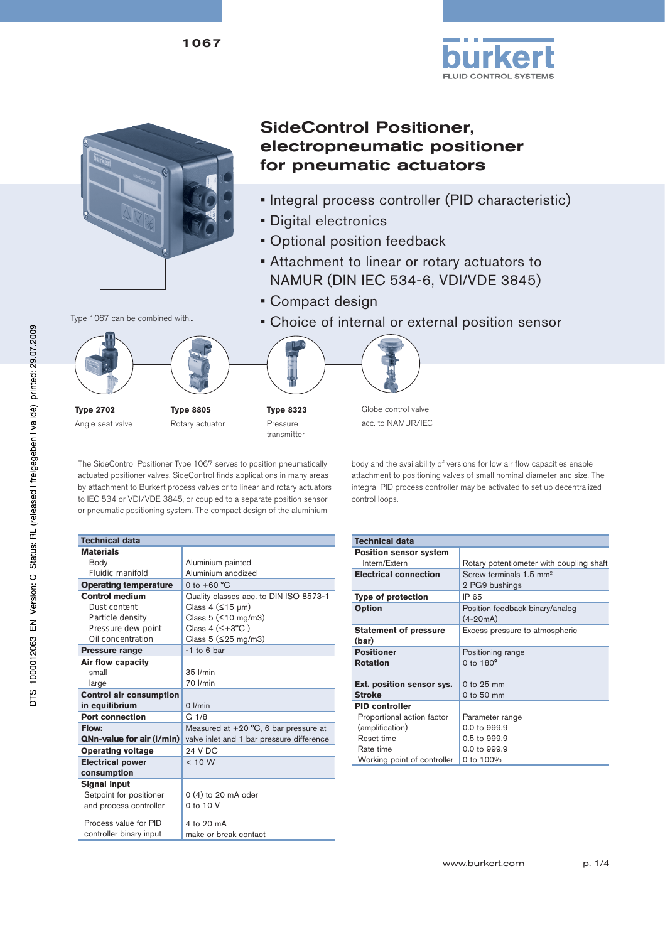



The SideControl Positioner Type 1067 serves to position pneumatically actuated positioner valves. SideControl finds applications in many areas by attachment to Burkert process valves or to linear and rotary actuators to IEC 534 or VDI/VDE 3845, or coupled to a separate position sensor or pneumatic positioning system. The compact design of the aluminium

body and the availability of versions for low air flow capacities enable attachment to positioning valves of small nominal diameter and size. The integral PID process controller may be activated to set up decentralized control loops.

| <b>Technical data</b>            |                                           |  |  |  |
|----------------------------------|-------------------------------------------|--|--|--|
| <b>Materials</b>                 |                                           |  |  |  |
| Body                             | Aluminium painted                         |  |  |  |
| Fluidic manifold                 | Aluminium anodized                        |  |  |  |
| Operating temperature            | 0 to $+60 °C$                             |  |  |  |
| Control medium                   | Quality classes acc. to DIN ISO 8573-1    |  |  |  |
| Dust content                     | Class $4$ ( $\leq$ 15 µm)                 |  |  |  |
| Particle density                 | Class $5$ ( $\leq$ 10 mg/m3)              |  |  |  |
| Pressure dew point               | Class $4$ ( $\leq$ +3°C)                  |  |  |  |
| Oil concentration                | Class 5 ( $\leq$ 25 mg/m3)                |  |  |  |
| <b>Pressure range</b>            | $-1$ to 6 bar                             |  |  |  |
| Air flow capacity                |                                           |  |  |  |
| small                            | 35 l/min                                  |  |  |  |
| large                            | 70 l/min                                  |  |  |  |
| <b>Control air consumption</b>   |                                           |  |  |  |
| in equilibrium                   | $0$ $l/min$                               |  |  |  |
| <b>Port connection</b>           | G <sub>1/8</sub>                          |  |  |  |
| Flow:                            | Measured at $+20$ °C, 6 bar pressure at   |  |  |  |
| <b>QNn-value for air (I/min)</b> | valve inlet and 1 bar pressure difference |  |  |  |
| <b>Operating voltage</b>         | <b>24 V DC</b>                            |  |  |  |
| <b>Electrical power</b>          | < 10 W                                    |  |  |  |
| consumption                      |                                           |  |  |  |
| <b>Signal input</b>              |                                           |  |  |  |
| Setpoint for positioner          | 0 (4) to 20 mA oder                       |  |  |  |
| and process controller           | $0$ to 10 V                               |  |  |  |
| Process value for PID            |                                           |  |  |  |
|                                  | 4 to 20 mA                                |  |  |  |
| controller binary input          | make or break contact                     |  |  |  |

| <b>Technical data</b>                          |                                                       |  |  |  |  |
|------------------------------------------------|-------------------------------------------------------|--|--|--|--|
| <b>Position sensor system</b><br>Intern/Extern | Rotary potentiometer with coupling shaft              |  |  |  |  |
| <b>Electrical connection</b>                   | Screw terminals 1.5 mm <sup>2</sup><br>2 PG9 bushings |  |  |  |  |
| <b>Type of protection</b>                      | IP 65                                                 |  |  |  |  |
| <b>Option</b>                                  | Position feedback binary/analog<br>$(4-20mA)$         |  |  |  |  |
| <b>Statement of pressure</b><br>(bar)          | Excess pressure to atmospheric                        |  |  |  |  |
| <b>Positioner</b>                              | Positioning range                                     |  |  |  |  |
| <b>Rotation</b>                                | 0 to 180°                                             |  |  |  |  |
| Ext. position sensor sys.                      | $0$ to $25$ mm                                        |  |  |  |  |
| <b>Stroke</b>                                  | 0 to 50 mm                                            |  |  |  |  |
| <b>PID controller</b>                          |                                                       |  |  |  |  |
| Proportional action factor                     | Parameter range                                       |  |  |  |  |
| (amplification)                                | 0.0 to 999.9                                          |  |  |  |  |
| Reset time                                     | 0.5 to 999.9                                          |  |  |  |  |
| Rate time                                      | 0.0 to 999.9                                          |  |  |  |  |
| Working point of controller                    | 0 to 100%                                             |  |  |  |  |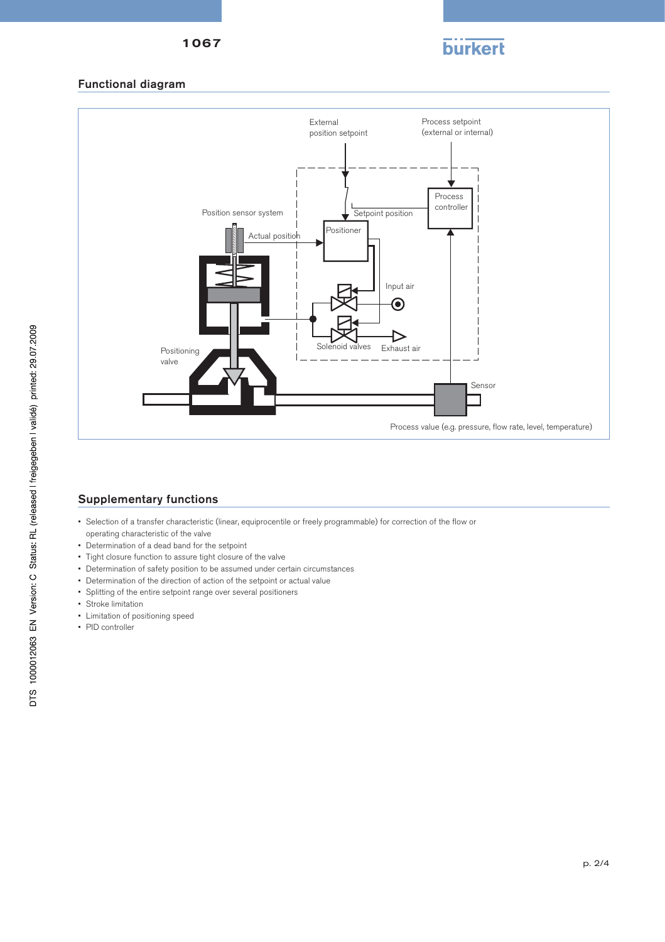1067



# Functional diagram



# Supplementary functions

- Selection of a transfer characteristic (linear, equiprocentile or freely programmable) for correction of the flow or operating characteristic of the valve
- Determination of a dead band for the setpoint
- Tight closure function to assure tight closure of the valve
- Determination of safety position to be assumed under certain circumstances
- Determination of the direction of action of the setpoint or actual value
- Splitting of the entire setpoint range over several positioners
- Stroke limitation
- Limitation of positioning speed
- PID controller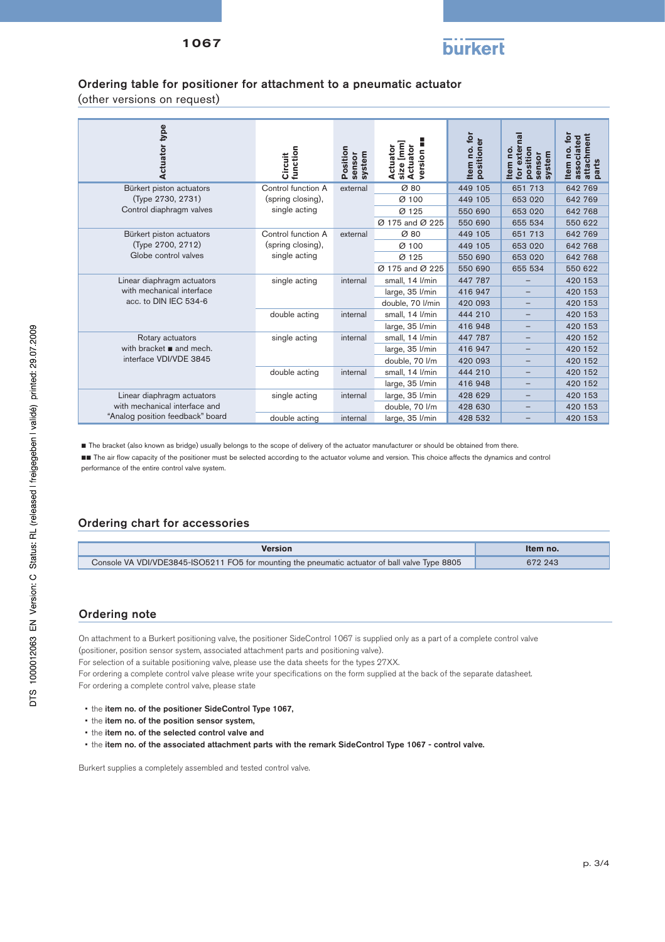

# Ordering table for positioner for attachment to a pneumatic actuator

(other versions on request)

| <b>Actuator type</b>                                                                                                                                                                                                                                                                                                                                                                                                                                                                                                                                                                                                                                                                                                                                                                                     | function<br>Circuit                                      | Position<br>system<br>sensor | version <b>an</b><br>size [mm]<br>Actuator<br>Actuator | Item no. for<br>positioner | for external<br>position<br>Item no.<br>system<br>sensor | Item no. for<br>attachment<br>associated<br>parts |  |  |
|----------------------------------------------------------------------------------------------------------------------------------------------------------------------------------------------------------------------------------------------------------------------------------------------------------------------------------------------------------------------------------------------------------------------------------------------------------------------------------------------------------------------------------------------------------------------------------------------------------------------------------------------------------------------------------------------------------------------------------------------------------------------------------------------------------|----------------------------------------------------------|------------------------------|--------------------------------------------------------|----------------------------|----------------------------------------------------------|---------------------------------------------------|--|--|
| Bürkert piston actuators                                                                                                                                                                                                                                                                                                                                                                                                                                                                                                                                                                                                                                                                                                                                                                                 | Control function A                                       | external                     | Ø 80                                                   | 449 105                    | 651 713                                                  | 642 769                                           |  |  |
| (Type 2730, 2731)                                                                                                                                                                                                                                                                                                                                                                                                                                                                                                                                                                                                                                                                                                                                                                                        | (spring closing),                                        |                              | Ø 100                                                  | 449 105                    | 653 020                                                  | 642 769                                           |  |  |
| Control diaphragm valves                                                                                                                                                                                                                                                                                                                                                                                                                                                                                                                                                                                                                                                                                                                                                                                 | single acting                                            |                              | Ø 125                                                  | 550 690                    | 653 020                                                  | 642 768                                           |  |  |
|                                                                                                                                                                                                                                                                                                                                                                                                                                                                                                                                                                                                                                                                                                                                                                                                          |                                                          |                              | Ø 175 and Ø 225                                        | 550 690                    | 655 534                                                  | 550 622                                           |  |  |
| Bürkert piston actuators                                                                                                                                                                                                                                                                                                                                                                                                                                                                                                                                                                                                                                                                                                                                                                                 | Control function A<br>(spring closing),<br>single acting | external                     | Ø80                                                    | 449 105                    | 651 713                                                  | 642 769                                           |  |  |
| (Type 2700, 2712)                                                                                                                                                                                                                                                                                                                                                                                                                                                                                                                                                                                                                                                                                                                                                                                        |                                                          |                              | Ø 100                                                  | 449 105                    | 653 020                                                  | 642 768                                           |  |  |
| Globe control valves                                                                                                                                                                                                                                                                                                                                                                                                                                                                                                                                                                                                                                                                                                                                                                                     |                                                          |                              | Ø 125                                                  | 550 690                    | 653 020                                                  | 642 768                                           |  |  |
|                                                                                                                                                                                                                                                                                                                                                                                                                                                                                                                                                                                                                                                                                                                                                                                                          |                                                          |                              | Ø 175 and Ø 225                                        | 550 690                    | 655 534                                                  | 550 622                                           |  |  |
| Linear diaphragm actuators                                                                                                                                                                                                                                                                                                                                                                                                                                                                                                                                                                                                                                                                                                                                                                               | single acting                                            | internal                     | small, 14 l/min                                        | 447 787                    |                                                          | 420 153                                           |  |  |
| with mechanical interface                                                                                                                                                                                                                                                                                                                                                                                                                                                                                                                                                                                                                                                                                                                                                                                |                                                          |                              | large, 35 l/min                                        | 416 947                    |                                                          | 420 153                                           |  |  |
| acc. to DIN IEC 534-6                                                                                                                                                                                                                                                                                                                                                                                                                                                                                                                                                                                                                                                                                                                                                                                    |                                                          |                              | double, 70 l/min                                       | 420 093                    | -                                                        | 420 153                                           |  |  |
|                                                                                                                                                                                                                                                                                                                                                                                                                                                                                                                                                                                                                                                                                                                                                                                                          | double acting                                            | internal                     | small, 14 l/min                                        | 444 210                    | $\overline{\phantom{0}}$                                 | 420 153                                           |  |  |
|                                                                                                                                                                                                                                                                                                                                                                                                                                                                                                                                                                                                                                                                                                                                                                                                          |                                                          |                              | large, 35 l/min                                        | 416 948                    | $\overline{\phantom{0}}$                                 | 420 153                                           |  |  |
| Rotary actuators                                                                                                                                                                                                                                                                                                                                                                                                                                                                                                                                                                                                                                                                                                                                                                                         | single acting                                            | internal                     | small, 14 l/min                                        | 447 787                    | $\overline{\phantom{0}}$                                 | 420 152                                           |  |  |
| with bracket $\blacksquare$ and mech.                                                                                                                                                                                                                                                                                                                                                                                                                                                                                                                                                                                                                                                                                                                                                                    |                                                          |                              | large, 35 l/min                                        | 416 947                    | $\qquad \qquad -$                                        | 420 152                                           |  |  |
| interface VDI/VDE 3845                                                                                                                                                                                                                                                                                                                                                                                                                                                                                                                                                                                                                                                                                                                                                                                   |                                                          |                              | double, 70 l/m                                         | 420 093                    |                                                          | 420 152                                           |  |  |
|                                                                                                                                                                                                                                                                                                                                                                                                                                                                                                                                                                                                                                                                                                                                                                                                          | double acting                                            | internal                     | small, 14 l/min                                        | 444 210                    |                                                          | 420 152                                           |  |  |
|                                                                                                                                                                                                                                                                                                                                                                                                                                                                                                                                                                                                                                                                                                                                                                                                          |                                                          |                              | large, 35 l/min                                        | 416 948                    | $\overline{\phantom{0}}$                                 | 420 152                                           |  |  |
| Linear diaphragm actuators                                                                                                                                                                                                                                                                                                                                                                                                                                                                                                                                                                                                                                                                                                                                                                               | single acting                                            | internal                     | large, 35 l/min                                        | 428 629                    | -                                                        | 420 153                                           |  |  |
| with mechanical interface and                                                                                                                                                                                                                                                                                                                                                                                                                                                                                                                                                                                                                                                                                                                                                                            |                                                          |                              | double, 70 l/m                                         | 428 630                    | $\overline{\phantom{0}}$                                 | 420 153                                           |  |  |
| "Analog position feedback" board                                                                                                                                                                                                                                                                                                                                                                                                                                                                                                                                                                                                                                                                                                                                                                         | double acting                                            | internal                     | large, 35 l/min                                        | 428 532                    | $\overline{\phantom{0}}$                                 | 420 153                                           |  |  |
| performance of the entire control valve system.<br>Ordering chart for accessories                                                                                                                                                                                                                                                                                                                                                                                                                                                                                                                                                                                                                                                                                                                        |                                                          |                              |                                                        |                            |                                                          |                                                   |  |  |
|                                                                                                                                                                                                                                                                                                                                                                                                                                                                                                                                                                                                                                                                                                                                                                                                          |                                                          |                              |                                                        |                            |                                                          |                                                   |  |  |
| <b>Version</b>                                                                                                                                                                                                                                                                                                                                                                                                                                                                                                                                                                                                                                                                                                                                                                                           |                                                          |                              |                                                        |                            | Item no.                                                 |                                                   |  |  |
| Console VA VDI/VDE3845-ISO5211 FO5 for mounting the pneumatic actuator of ball valve Type 8805                                                                                                                                                                                                                                                                                                                                                                                                                                                                                                                                                                                                                                                                                                           |                                                          |                              |                                                        |                            | 672 243                                                  |                                                   |  |  |
| Ordering note                                                                                                                                                                                                                                                                                                                                                                                                                                                                                                                                                                                                                                                                                                                                                                                            |                                                          |                              |                                                        |                            |                                                          |                                                   |  |  |
| On attachment to a Burkert positioning valve, the positioner SideControl 1067 is supplied only as a part of a complete control valve<br>(positioner, position sensor system, associated attachment parts and positioning valve).<br>For selection of a suitable positioning valve, please use the data sheets for the types 27XX.<br>For ordering a complete control valve please write your specifications on the form supplied at the back of the separate datasheet.<br>For ordering a complete control valve, please state<br>• the item no. of the positioner SideControl Type 1067,<br>• the item no. of the position sensor system,<br>. the item no. of the selected control valve and<br>the item no. of the associated attachment parts with the remark SideControl Type 1067 - control valve. |                                                          |                              |                                                        |                            |                                                          |                                                   |  |  |
| Burkert supplies a completely assembled and tested control valve.                                                                                                                                                                                                                                                                                                                                                                                                                                                                                                                                                                                                                                                                                                                                        |                                                          |                              |                                                        |                            |                                                          |                                                   |  |  |

### Ordering chart for accessories

| <b>Version</b>                                                                                 | Item no. |  |
|------------------------------------------------------------------------------------------------|----------|--|
| Console VA VDI/VDE3845-ISO5211 FO5 for mounting the pneumatic actuator of ball valve Type 8805 | 672 243  |  |

# Ordering note

- the item no. of the positioner SideControl Type 1067,
- the item no. of the position sensor system,
- the item no. of the selected control valve and
- the item no. of the associated attachment parts with the remark SideControl Type 1067 control valve.